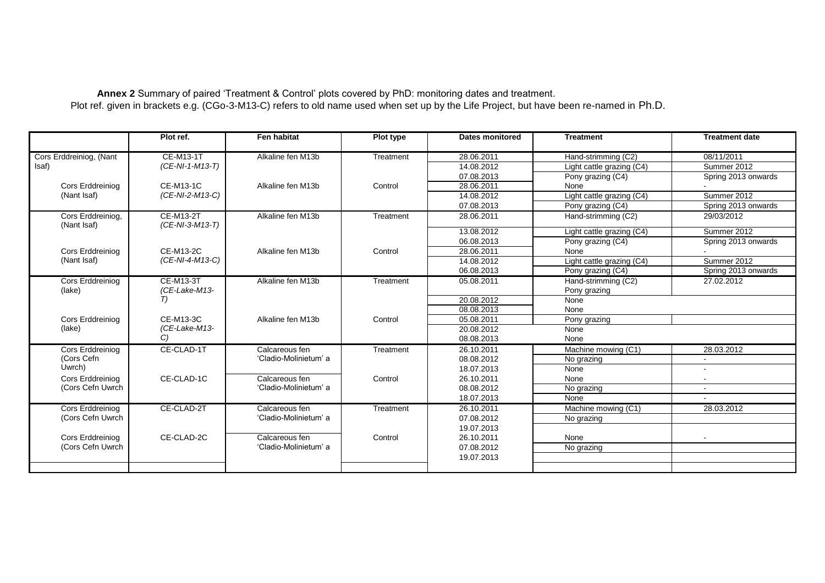**Annex 2** Summary of paired 'Treatment & Control' plots covered by PhD: monitoring dates and treatment. Plot ref. given in brackets e.g. (CGo-3-M13-C) refers to old name used when set up by the Life Project, but have been re-named in Ph.D.

|                                  | Plot ref.                           | <b>Fen habitat</b>    | Plot type | Dates monitored | <b>Treatment</b>          | <b>Treatment date</b> |
|----------------------------------|-------------------------------------|-----------------------|-----------|-----------------|---------------------------|-----------------------|
| Cors Erddreiniog, (Nant<br>Isaf) | <b>CE-M13-1T</b><br>(CE-NI-1-M13-T) | Alkaline fen M13b     | Treatment | 28.06.2011      | Hand-strimming (C2)       | 08/11/2011            |
|                                  |                                     |                       |           | 14.08.2012      | Light cattle grazing (C4) | Summer 2012           |
|                                  |                                     |                       |           | 07.08.2013      | Pony grazing (C4)         | Spring 2013 onwards   |
| Cors Erddreiniog                 | <b>CE-M13-1C</b>                    | Alkaline fen M13b     | Control   | 28.06.2011      | None                      |                       |
| (Nant Isaf)                      | (CE-NI-2-M13-C)                     |                       |           | 14.08.2012      | Light cattle grazing (C4) | Summer 2012           |
|                                  |                                     |                       |           | 07.08.2013      | Pony grazing (C4)         | Spring 2013 onwards   |
| Cors Erddreiniog,<br>(Nant Isaf) | <b>CE-M13-2T</b><br>(CE-NI-3-M13-T) | Alkaline fen M13b     | Treatment | 28.06.2011      | Hand-strimming (C2)       | 29/03/2012            |
|                                  |                                     |                       |           | 13.08.2012      | Light cattle grazing (C4) | Summer 2012           |
|                                  |                                     |                       |           | 06.08.2013      | Pony grazing (C4)         | Spring 2013 onwards   |
| Cors Erddreiniog                 | <b>CE-M13-2C</b>                    | Alkaline fen M13b     | Control   | 28.06.2011      | None                      |                       |
| (Nant Isaf)                      | (CE-NI-4-M13-C)                     |                       |           | 14.08.2012      | Light cattle grazing (C4) | Summer 2012           |
|                                  |                                     |                       |           | 06.08.2013      | Pony grazing (C4)         | Spring 2013 onwards   |
| Cors Erddreiniog                 | CE-M13-3T<br>(CE-Lake-M13-<br>T)    | Alkaline fen M13b     | Treatment | 05.08.2011      | Hand-strimming (C2)       | 27.02.2012            |
| (lake)                           |                                     |                       |           |                 | Pony grazing              |                       |
|                                  |                                     |                       |           | 20.08.2012      | None                      |                       |
|                                  |                                     |                       |           | 08.08.2013      | None                      |                       |
| Cors Erddreiniog                 | CE-M13-3C<br>(CE-Lake-M13-<br>C)    | Alkaline fen M13b     | Control   | 05.08.2011      | Pony grazing              |                       |
| (lake)                           |                                     |                       |           | 20.08.2012      | None                      |                       |
|                                  |                                     |                       |           | 08.08.2013      | None                      |                       |
| Cors Erddreiniog                 | CE-CLAD-1T                          | Calcareous fen        | Treatment | 26.10.2011      | Machine mowing (C1)       | 28.03.2012            |
| (Cors Cefn                       |                                     | 'Cladio-Molinietum' a |           | 08.08.2012      | No grazing                |                       |
| Uwrch)                           |                                     |                       |           | 18.07.2013      | None                      |                       |
| Cors Erddreiniog                 | CE-CLAD-1C                          | Calcareous fen        | Control   | 26.10.2011      | None                      |                       |
| (Cors Cefn Uwrch                 |                                     | 'Cladio-Molinietum' a |           | 08.08.2012      | No grazing                | $\sim$                |
|                                  |                                     |                       |           | 18.07.2013      | None                      |                       |
| Cors Erddreiniog                 | CE-CLAD-2T                          | Calcareous fen        | Treatment | 26.10.2011      | Machine mowing (C1)       | 28.03.2012            |
| (Cors Cefn Uwrch                 |                                     | 'Cladio-Molinietum' a |           | 07.08.2012      | No grazing                |                       |
|                                  |                                     |                       |           | 19.07.2013      |                           |                       |
| Cors Erddreiniog                 | CE-CLAD-2C                          | Calcareous fen        | Control   | 26.10.2011      | None                      |                       |
| (Cors Cefn Uwrch                 |                                     | 'Cladio-Molinietum' a |           | 07.08.2012      | No grazing                |                       |
|                                  |                                     |                       |           | 19.07.2013      |                           |                       |
|                                  |                                     |                       |           |                 |                           |                       |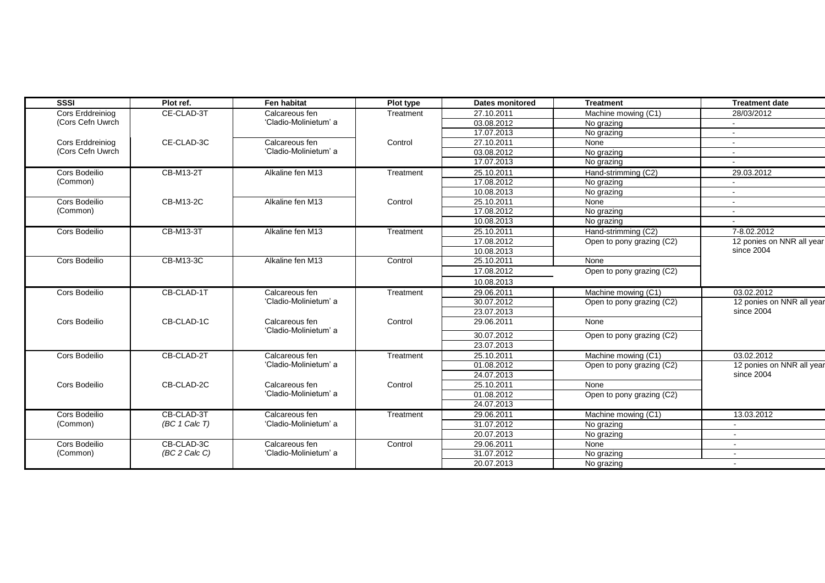| <b>SSSI</b>                                 | Plot ref.        | <b>Fen habitat</b>                      | Plot type | <b>Dates monitored</b> | <b>Treatment</b>          | <b>Treatment date</b>                   |
|---------------------------------------------|------------------|-----------------------------------------|-----------|------------------------|---------------------------|-----------------------------------------|
| <b>Cors Erddreiniog</b><br>(Cors Cefn Uwrch | CE-CLAD-3T       | Calcareous fen                          | Treatment | 27.10.2011             | Machine mowing (C1)       | 28/03/2012                              |
|                                             |                  | 'Cladio-Molinietum' a                   |           | 03.08.2012             | No grazing                |                                         |
|                                             |                  |                                         |           | 17.07.2013             | No grazing                |                                         |
| Cors Erddreiniog                            | CE-CLAD-3C       | Calcareous fen                          | Control   | 27.10.2011             | None                      | $\sim$                                  |
| (Cors Cefn Uwrch                            |                  | 'Cladio-Molinietum' a                   |           | 03.08.2012             | No grazing                | $\sim$                                  |
|                                             |                  |                                         |           | 17.07.2013             | No grazing                |                                         |
| Cors Bodeilio                               | CB-M13-2T        | Alkaline fen M13                        | Treatment | 25.10.2011             | Hand-strimming (C2)       | 29.03.2012                              |
| (Common)                                    |                  |                                         |           | 17.08.2012             | No grazing                | $\sim$                                  |
|                                             |                  |                                         |           | 10.08.2013             | No grazing                | $\sim$                                  |
| Cors Bodeilio                               | CB-M13-2C        | Alkaline fen M13                        | Control   | 25.10.2011             | None                      | $\sim$                                  |
| (Common)                                    |                  |                                         |           | 17.08.2012             | No grazing                | $\sim$                                  |
|                                             |                  |                                         |           | 10.08.2013             | No grazing                |                                         |
| Cors Bodeilio                               | CB-M13-3T        | Alkaline fen M13                        | Treatment | 25.10.2011             | Hand-strimming (C2)       | 7-8.02.2012                             |
|                                             |                  |                                         |           | 17.08.2012             | Open to pony grazing (C2) | 12 ponies on NNR all year<br>since 2004 |
|                                             |                  |                                         |           | 10.08.2013             |                           |                                         |
| Cors Bodeilio                               | CB-M13-3C        | Alkaline fen M13                        | Control   | 25.10.2011             | None                      |                                         |
|                                             |                  |                                         |           | 17.08.2012             | Open to pony grazing (C2) |                                         |
|                                             |                  |                                         |           | 10.08.2013             |                           |                                         |
| Cors Bodeilio                               | CB-CLAD-1T       | Calcareous fen<br>'Cladio-Molinietum' a | Treatment | 29.06.2011             | Machine mowing (C1)       | 03.02.2012                              |
|                                             |                  |                                         |           | 30.07.2012             | Open to pony grazing (C2) | 12 ponies on NNR all year<br>since 2004 |
|                                             |                  |                                         |           | 23.07.2013             |                           |                                         |
| Cors Bodeilio                               | CB-CLAD-1C       | Calcareous fen<br>'Cladio-Molinietum' a | Control   | 29.06.2011             | None                      |                                         |
|                                             |                  |                                         |           | 30.07.2012             | Open to pony grazing (C2) |                                         |
|                                             |                  |                                         |           | 23.07.2013             |                           |                                         |
| Cors Bodeilio                               | CB-CLAD-2T       | Calcareous fen                          | Treatment | 25.10.2011             | Machine mowing (C1)       | 03.02.2012                              |
|                                             |                  | 'Cladio-Molinietum' a                   |           | 01.08.2012             | Open to pony grazing (C2) | 12 ponies on NNR all year<br>since 2004 |
|                                             |                  |                                         |           | 24.07.2013             |                           |                                         |
| Cors Bodeilio                               | CB-CLAD-2C       | Calcareous fen<br>'Cladio-Molinietum' a | Control   | 25.10.2011             | None                      |                                         |
|                                             |                  |                                         |           | 01.08.2012             | Open to pony grazing (C2) |                                         |
|                                             |                  |                                         |           | 24.07.2013             |                           |                                         |
| Cors Bodeilio                               | CB-CLAD-3T       | Calcareous fen                          | Treatment | 29.06.2011             | Machine mowing (C1)       | 13.03.2012                              |
| (Common)                                    | $(BC 1)$ Calc T) | 'Cladio-Molinietum' a                   |           | 31.07.2012             | No grazing                |                                         |
|                                             |                  |                                         |           | 20.07.2013             | No grazing                |                                         |
| Cors Bodeilio                               | CB-CLAD-3C       | Calcareous fen                          | Control   | 29.06.2011             | None                      |                                         |
| (Common)                                    | $(BC 2$ Calc C)  | 'Cladio-Molinietum' a                   |           | 31.07.2012             | No grazing                | $\sim$                                  |
|                                             |                  |                                         |           | 20.07.2013             | No grazing                | $\sim$                                  |